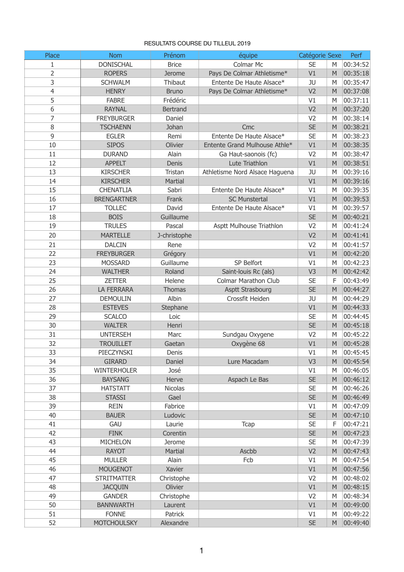## RESULTATS COURSE DU TILLEUL 2019

| Place    | <b>Nom</b>               | Prénom          | équipe                         | Catégorie Sexe         |   | Perf                 |
|----------|--------------------------|-----------------|--------------------------------|------------------------|---|----------------------|
| 1        | <b>DONISCHAL</b>         | <b>Brice</b>    | <b>Colmar Mc</b>               | <b>SE</b>              | M | 00:34:52             |
| 2        | <b>ROPERS</b>            | <b>Jerome</b>   | Pays De Colmar Athletisme*     | V1                     | M | 00:35:18             |
| 3        | <b>SCHWALM</b>           | Thibaut         | Entente De Haute Alsace*       | JU                     | M | 00:35:47             |
| 4        | <b>HENRY</b>             | <b>Bruno</b>    | Pays De Colmar Athletisme*     | V <sub>2</sub>         | M | 00:37:08             |
| 5        | <b>FABRE</b>             | Frédéric        |                                | V <sub>1</sub>         | M | 00:37:11             |
| 6        | <b>RAYNAL</b>            | <b>Bertrand</b> |                                | V <sub>2</sub>         | M | 00:37:20             |
| 7        | <b>FREYBURGER</b>        | Daniel          |                                | V <sub>2</sub>         | M | 00:38:14             |
| 8        | <b>TSCHAENN</b>          | Johan           | Cmc                            | <b>SE</b>              | M | 00:38:21             |
| 9        | <b>EGLER</b>             | Remi            | Entente De Haute Alsace*       | <b>SE</b>              | M | 00:38:23             |
| 10       | <b>SIPOS</b>             | <b>Olivier</b>  | Entente Grand Mulhouse Athle*  | V1                     | M | 00:38:35             |
| 11       | <b>DURAND</b>            | Alain           | Ga Haut-saonois (fc)           | V <sub>2</sub>         | M | 00:38:47             |
| 12       | <b>APPELT</b>            | <b>Denis</b>    | Lute Triathlon                 | V1                     | M | 00:38:51             |
| 13       | <b>KIRSCHER</b>          | <b>Tristan</b>  | Athletisme Nord Alsace Haguena | JU                     | M | 00:39:16             |
| 14       | <b>KIRSCHER</b>          | <b>Martial</b>  |                                | V1                     | M | 00:39:16             |
| 15       | <b>CHENATLIA</b>         | Sabri           | Entente De Haute Alsace*       | V1                     | M | 00:39:35             |
| 16       | <b>BRENGARTNER</b>       | Frank           | <b>SC Munstertal</b>           | V1                     | M | 00:39:53             |
| 17       | <b>TOLLEC</b>            | David           | Entente De Haute Alsace*       | V1                     | M | 00:39:57             |
| 18       | <b>BOIS</b>              | Guillaume       |                                | <b>SE</b>              | M | 00:40:21             |
| 19       | <b>TRULES</b>            | Pascal          | Asptt Mulhouse Triathlon       | V <sub>2</sub>         | M | 00:41:24             |
| 20       | <b>MARTELLE</b>          | J-christophe    |                                | V <sub>2</sub>         | M | 00:41:41             |
| 21       | <b>DALCIN</b>            | Rene            |                                | V <sub>2</sub>         | M | 00:41:57             |
| 22       | <b>FREYBURGER</b>        | Grégory         |                                | V1                     | M | 00:42:20             |
| 23       | <b>MOSSARD</b>           | Guillaume       | SP Belfort                     | V <sub>1</sub>         | M | 00:42:23             |
|          |                          |                 | Saint-Iouis Rc (als)           |                        | M |                      |
| 24<br>25 | WALTHER<br><b>ZETTER</b> | Roland          | <b>Colmar Marathon Club</b>    | V <sub>3</sub>         | F | 00:42:42<br>00:43:49 |
| 26       | <b>LA FERRARA</b>        | Helene          | <b>Asptt Strasbourg</b>        | <b>SE</b><br><b>SE</b> | M | 00:44:27             |
|          |                          | <b>Thomas</b>   | Crossfit Heiden                |                        |   |                      |
| 27       | <b>DEMOULIN</b>          | Albin           |                                | JU                     | M | 00:44:29             |
| 28       | <b>ESTEVES</b>           | Stephane        |                                | V1                     | M | 00:44:33             |
| 29       | <b>SCALCO</b>            | Loic            |                                | <b>SE</b>              | M | 00:44:45             |
| 30       | <b>WALTER</b>            | Henri           |                                | <b>SE</b>              | M | 00:45:18             |
| 31       | <b>UNTERSEH</b>          | <b>Marc</b>     | Sundgau Oxygene                | V <sub>2</sub>         | M | 00:45:22             |
| 32       | <b>TROUILLET</b>         | Gaetan          | Oxygène 68                     | V1                     | M | 00:45:28             |
| 33       | <b>PIECZYNSKI</b>        | Denis           |                                | V1                     | M | 00:45:45             |
| 34       | <b>GIRARD</b>            | Daniel          | Lure Macadam                   | V <sub>3</sub>         | M | 00:45:54             |
| 35       | <b>WINTERHOLER</b>       | José            |                                | V1                     | M | 00:46:05             |
| 36       | <b>BAYSANG</b>           | Herve           | Aspach Le Bas                  | <b>SE</b>              | M | 00:46:12             |
| 37       | <b>HATSTATT</b>          | <b>Nicolas</b>  |                                | <b>SE</b>              | M | 00:46:26             |
| 38       | <b>STASSI</b>            | Gael            |                                | <b>SE</b>              | M | 00:46:49             |
| 39       | <b>REIN</b>              | Fabrice         |                                | V1                     | M | 00:47:09             |
| 40       | <b>BAUER</b>             | Ludovic         |                                | <b>SE</b>              | M | 00:47:10             |
| 41       | <b>GAU</b>               | Laurie          | <b>Tcap</b>                    | <b>SE</b>              | F | 00:47:21             |
| 42       | <b>FINK</b>              | Corentin        |                                | <b>SE</b>              | M | 00:47:23             |
| 43       | <b>MICHELON</b>          | <b>Jerome</b>   |                                | <b>SE</b>              | M | 00:47:39             |
| 44       | <b>RAYOT</b>             | <b>Martial</b>  | Ascbb                          | V <sub>2</sub>         | M | 00:47:43             |
| 45       | <b>MULLER</b>            | Alain           | Fcb                            | V1                     | M | 00:47:54             |
| 46       | <b>MOUGENOT</b>          | <b>Xavier</b>   |                                | V1                     | M | 00:47:56             |
| 47       | <b>STRITMATTER</b>       | Christophe      |                                | V <sub>2</sub>         | M | 00:48:02             |
| 48       | <b>JACQUIN</b>           | Olivier         |                                | V1                     | M | 00:48:15             |
| 49       | <b>GANDER</b>            | Christophe      |                                | V <sub>2</sub>         | M | 00:48:34             |
| 50       | <b>BANNWARTH</b>         | Laurent         |                                | V1                     | M | 00:49:00             |
| 51       | <b>FONNE</b>             | Patrick         |                                | V1                     | M | 00:49:22             |
| 52       | <b>MOTCHOULSKY</b>       | Alexandre       |                                | <b>SE</b>              | M | 00:49:40             |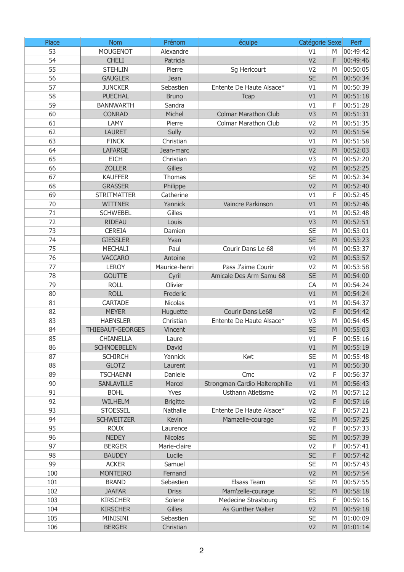| Place | <b>Nom</b>              | Prénom          | équipe                         | Catégorie Sexe |   | Perf     |
|-------|-------------------------|-----------------|--------------------------------|----------------|---|----------|
| 53    | <b>MOUGENOT</b>         | Alexandre       |                                | V <sub>1</sub> | M | 00:49:42 |
| 54    | <b>CHELI</b>            | Patricia        |                                | V <sub>2</sub> | F | 00:49:46 |
| 55    | <b>STEHLIN</b>          | Pierre          | Sg Hericourt                   | V <sub>2</sub> | M | 00:50:05 |
| 56    | <b>GAUGLER</b>          | Jean            |                                | <b>SE</b>      | M | 00:50:34 |
| 57    | <b>JUNCKER</b>          | Sebastien       | Entente De Haute Alsace*       | V1             | M | 00:50:39 |
| 58    | <b>PUECHAL</b>          | <b>Bruno</b>    | <b>Tcap</b>                    | V1             | M | 00:51:18 |
| 59    | <b>BANNWARTH</b>        | Sandra          |                                | V1             | F | 00:51:28 |
| 60    | <b>CONRAD</b>           | Michel          | <b>Colmar Marathon Club</b>    | V <sub>3</sub> | M | 00:51:31 |
| 61    | <b>LAMY</b>             | Pierre          | <b>Colmar Marathon Club</b>    | V <sub>2</sub> | M | 00:51:35 |
| 62    | <b>LAURET</b>           | <b>Sully</b>    |                                | V <sub>2</sub> | M | 00:51:54 |
| 63    | <b>FINCK</b>            | Christian       |                                | V1             | M | 00:51:58 |
| 64    | <b>LAFARGE</b>          | Jean-marc       |                                | V <sub>2</sub> | M | 00:52:03 |
| 65    | <b>EICH</b>             | Christian       |                                | V <sub>3</sub> | M | 00:52:20 |
| 66    | <b>ZOLLER</b>           | <b>Gilles</b>   |                                | V <sub>2</sub> | M | 00:52:25 |
| 67    | <b>KAUFFER</b>          | <b>Thomas</b>   |                                | <b>SE</b>      | M | 00:52:34 |
| 68    | <b>GRASSER</b>          | Philippe        |                                | V <sub>2</sub> | M | 00:52:40 |
| 69    | <b>STRITMATTER</b>      | Catherine       |                                | V1             | F | 00:52:45 |
| 70    | <b>WITTNER</b>          | Yannick         | Vaincre Parkinson              | V1             | M | 00:52:46 |
| 71    | <b>SCHWEBEL</b>         | Gilles          |                                | V1             | M | 00:52:48 |
| 72    | <b>RIDEAU</b>           | Louis           |                                | V <sub>3</sub> | M | 00:52:51 |
| 73    | <b>CEREJA</b>           | Damien          |                                | <b>SE</b>      | M | 00:53:01 |
| 74    | <b>GIESSLER</b>         | Yvan            |                                | <b>SE</b>      | M | 00:53:23 |
| 75    | <b>MECHALI</b>          | Paul            | Courir Dans Le 68              | V <sub>4</sub> | M | 00:53:37 |
| 76    | <b>VACCARO</b>          | Antoine         |                                | V <sub>2</sub> | M | 00:53:57 |
| 77    | <b>LEROY</b>            | Maurice-henri   | Pass J'aime Courir             | V <sub>2</sub> | M | 00:53:58 |
| 78    | <b>GOUTTE</b>           | Cyril           | Amicale Des Arm Samu 68        | <b>SE</b>      | M | 00:54:00 |
| 79    | <b>ROLL</b>             | Olivier         |                                | <b>CA</b>      | M | 00:54:24 |
| 80    | <b>ROLL</b>             | Frederic        |                                | V1             | M | 00:54:24 |
| 81    | <b>CARTADE</b>          | <b>Nicolas</b>  |                                | V1             | M | 00:54:37 |
| 82    | <b>MEYER</b>            | Huguette        | <b>Courir Dans Le68</b>        | V <sub>2</sub> | F | 00:54:42 |
| 83    | <b>HAENSLER</b>         | Christian       | Entente De Haute Alsace*       | V <sub>3</sub> | M | 00:54:45 |
| 84    | <b>THIEBAUT-GEORGES</b> | Vincent         |                                | <b>SE</b>      | M | 00:55:03 |
| 85    | <b>CHIANELLA</b>        | Laure           |                                | V1             | F | 00:55:16 |
| 86    | <b>SCHNOEBELEN</b>      | David           |                                | V1             | M | 00:55:19 |
| 87    | <b>SCHIRCH</b>          | Yannick         | Kwt                            | <b>SE</b>      | M | 00:55:48 |
| 88    | <b>GLOTZ</b>            | Laurent         |                                | V1             | M | 00:56:30 |
| 89    | <b>TSCHAENN</b>         | Daniele         | Cmc                            | V <sub>2</sub> | F | 00:56:37 |
| 90    | <b>SANLAVILLE</b>       | Marcel          | Strongman Cardio Halterophilie | V1             | M | 00:56:43 |
| 91    | <b>BOHL</b>             | <b>Yves</b>     | <b>Usthann Atletisme</b>       | V <sub>2</sub> | M | 00:57:12 |
| 92    | <b>WILHELM</b>          | <b>Brigitte</b> |                                | V <sub>2</sub> | F | 00:57:16 |
| 93    | <b>STOESSEL</b>         | Nathalie        | Entente De Haute Alsace*       | V <sub>2</sub> | F | 00:57:21 |
| 94    | <b>SCHWEITZER</b>       | <b>Kevin</b>    | Mamzelle-courage               | <b>SE</b>      | M | 00:57:25 |
| 95    | <b>ROUX</b>             | Laurence        |                                | V <sub>2</sub> | F | 00:57:33 |
| 96    | <b>NEDEY</b>            | <b>Nicolas</b>  |                                | <b>SE</b>      | M | 00:57:39 |
| 97    | <b>BERGER</b>           | Marie-claire    |                                | V <sub>2</sub> | F | 00:57:41 |
| 98    | <b>BAUDEY</b>           | Lucile          |                                | <b>SE</b>      | F | 00:57:42 |
| 99    | <b>ACKER</b>            | Samuel          |                                | <b>SE</b>      | M | 00:57:43 |
| 100   | <b>MONTEIRO</b>         | Fernand         |                                | V <sub>2</sub> | M | 00:57:54 |
| 101   | <b>BRAND</b>            | Sebastien       | Elsass Team                    | <b>SE</b>      | M | 00:57:55 |
| 102   | <b>JAAFAR</b>           | <b>Driss</b>    | Mam'zelle-courage              | <b>SE</b>      | M | 00:58:18 |
| 103   | <b>KIRSCHER</b>         | Solene          | <b>Medecine Strasbourg</b>     | <b>ES</b>      | F | 00:59:16 |
| 104   | <b>KIRSCHER</b>         | <b>Gilles</b>   | As Gunther Walter              | V <sub>2</sub> | M | 00:59:18 |
| 105   | <b>MINISINI</b>         | Sebastien       |                                | <b>SE</b>      | M | 01:00:09 |
| 106   | <b>BERGER</b>           | Christian       |                                | V <sub>2</sub> | M | 01:01:14 |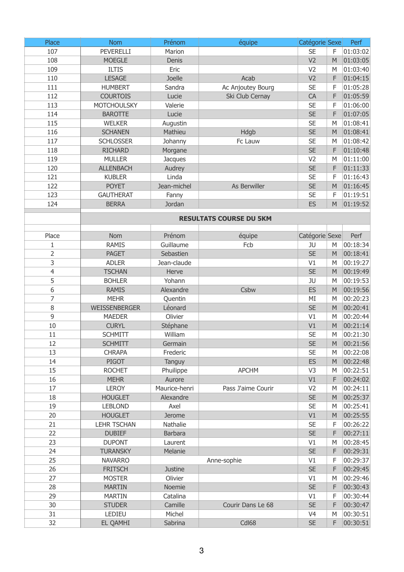| Place               | <b>Nom</b>                       | Prénom            | équipe                         | Catégorie Sexe              |        | Perf                 |
|---------------------|----------------------------------|-------------------|--------------------------------|-----------------------------|--------|----------------------|
| 107                 | <b>PEVERELLI</b>                 | Marion            |                                | <b>SE</b>                   | F      | 01:03:02             |
| 108                 | <b>MOEGLE</b>                    | Denis             |                                | V <sub>2</sub>              | M      | 01:03:05             |
| 109                 | <b>ILTIS</b>                     | Eric              |                                | V <sub>2</sub>              | M      | 01:03:40             |
| 110                 | <b>LESAGE</b>                    | Joelle            | Acab                           | V <sub>2</sub>              | F      | 01:04:15             |
| 111                 | <b>HUMBERT</b>                   | Sandra            | Ac Anjoutey Bourg              | <b>SE</b>                   | F      | 01:05:28             |
| 112                 | <b>COURTOIS</b>                  | Lucie             | Ski Club Cernay                | <b>CA</b>                   | F      | 01:05:59             |
| 113                 | <b>MOTCHOULSKY</b>               | Valerie           |                                | <b>SE</b>                   | F      | 01:06:00             |
| 114                 | <b>BAROTTE</b>                   | Lucie             |                                | <b>SE</b>                   | F      | 01:07:05             |
| 115                 | <b>WELKER</b>                    | Augustin          |                                | <b>SE</b>                   | M      | 01:08:41             |
| 116                 | <b>SCHANEN</b>                   | Mathieu           | <b>Hdgb</b>                    | <b>SE</b>                   | M      | 01:08:41             |
| 117                 | <b>SCHLOSSER</b>                 | Johanny           | Fc Lauw                        | <b>SE</b>                   | M      | 01:08:42             |
| 118                 | <b>RICHARD</b>                   | Morgane           |                                | <b>SE</b>                   | F      | 01:10:48             |
| 119                 | <b>MULLER</b>                    | <b>Jacques</b>    |                                | V <sub>2</sub>              | M      | 01:11:00             |
| 120                 | <b>ALLENBACH</b>                 | Audrey            |                                | <b>SE</b>                   | F      | 01:11:33             |
| 121                 | <b>KUBLER</b>                    | Linda             |                                | <b>SE</b>                   | F      | 01:16:43             |
| 122                 | <b>POYET</b>                     | Jean-michel       | As Berwiller                   | <b>SE</b>                   | M      | 01:16:45             |
| 123                 | <b>GAUTHERAT</b>                 | Fanny             |                                | <b>SE</b>                   | F      | 01:19:51             |
| 124                 | <b>BERRA</b>                     | Jordan            |                                | ES                          | M      | 01:19:52             |
|                     |                                  |                   |                                |                             |        |                      |
|                     |                                  |                   | <b>RESULTATS COURSE DU 5KM</b> |                             |        |                      |
|                     |                                  | Prénom            |                                |                             |        |                      |
| Place               | <b>Nom</b>                       |                   | équipe                         | Catégorie Sexe<br>JU        |        | Perf                 |
| 1                   | <b>RAMIS</b>                     | Guillaume         | Fcb                            |                             | M      | 00:18:34             |
| $\overline{2}$      | <b>PAGET</b>                     | Sebastien         |                                | <b>SE</b>                   | M      | 00:18:41             |
| 3                   | <b>ADLER</b>                     | Jean-claude       |                                | V1                          | M      | 00:19:27             |
| $\overline{4}$<br>5 | <b>TSCHAN</b>                    | <b>Herve</b>      |                                | <b>SE</b>                   | M      | 00:19:49             |
|                     | <b>BOHLER</b>                    | Yohann            |                                | JU                          | M      | 00:19:53             |
| 6                   | <b>RAMIS</b>                     | Alexandre         | <b>Csbw</b>                    | ES                          | M      | 00:19:56             |
| 7                   | <b>MEHR</b>                      | Quentin           |                                | MI                          | M      | 00:20:23             |
| $\, 8$<br>9         | <b>WEISSENBERGER</b>             | Léonard           |                                | <b>SE</b>                   | M      | 00:20:41             |
|                     | <b>MAEDER</b>                    | Olivier           |                                | V1                          | M      | 00:20:44             |
| 10                  | <b>CURYL</b>                     | Stéphane          |                                | V1                          | M      | 00:21:14             |
| 11                  | <b>SCHMITT</b>                   | William           |                                | <b>SE</b>                   | M      | 00:21:30             |
| 12                  | <b>SCHMITT</b>                   | Germain           |                                | <b>SE</b>                   | M      | 00:21:56             |
| 13                  | <b>CHRAPA</b>                    | Frederic          |                                | <b>SE</b>                   | M      | 00:22:08             |
| 14                  | <b>PIGOT</b>                     | Tanguy            |                                | ES                          | M      | 00:22:48             |
| 15                  | <b>ROCHET</b>                    | Phuilippe         | <b>APCHM</b>                   | V <sub>3</sub>              | M      | 00:22:51             |
| 16                  | <b>MEHR</b>                      | Aurore            |                                | V1                          | F      | 00:24:02             |
| 17                  | <b>LEROY</b>                     | Maurice-henri     | Pass J'aime Courir             | V <sub>2</sub><br><b>SE</b> | M<br>M | 00:24:11             |
| 18<br>19            | <b>HOUGLET</b><br><b>LEBLOND</b> | Alexandre<br>Axel |                                | <b>SE</b>                   | M      | 00:25:37<br>00:25:41 |
| 20                  | <b>HOUGLET</b>                   | <b>Jerome</b>     |                                | V1                          | M      | 00:25:55             |
| 21                  | <b>LEHR TSCHAN</b>               | <b>Nathalie</b>   |                                | <b>SE</b>                   | F      | 00:26:22             |
|                     |                                  |                   |                                |                             | F      |                      |
| 22<br>23            | <b>DUBIEF</b>                    | <b>Barbara</b>    |                                | <b>SE</b>                   | M      | 00:27:11             |
|                     | <b>DUPONT</b>                    | Laurent           |                                | V1                          |        | 00:28:45             |
| 24                  | <b>TURANSKY</b>                  | Melanie           |                                | <b>SE</b>                   | F      | 00:29:31             |
| 25                  | <b>NAVARRO</b>                   |                   | Anne-sophie                    | V1                          | F      | 00:29:37             |
| 26                  | <b>FRITSCH</b>                   | <b>Justine</b>    |                                | <b>SE</b>                   | F      | 00:29:45             |
| 27                  | <b>MOSTER</b>                    | Olivier           |                                | V <sub>1</sub>              | M      | 00:29:46             |
| 28                  | <b>MARTIN</b>                    | Noemie            |                                | <b>SE</b>                   | F      | 00:30:43             |
| 29                  | <b>MARTIN</b>                    | Catalina          |                                | V <sub>1</sub>              | F      | 00:30:44             |
| 30                  | <b>STUDER</b>                    | Camille           | Courir Dans Le 68              | <b>SE</b>                   | F      | 00:30:47             |
| 31                  | <b>LEDIEU</b>                    | Michel            |                                | V <sub>4</sub>              | M      | 00:30:51             |
| 32                  | <b>EL QAMHI</b>                  | Sabrina           | Cdl68                          | <b>SE</b>                   | F      | 00:30:51             |